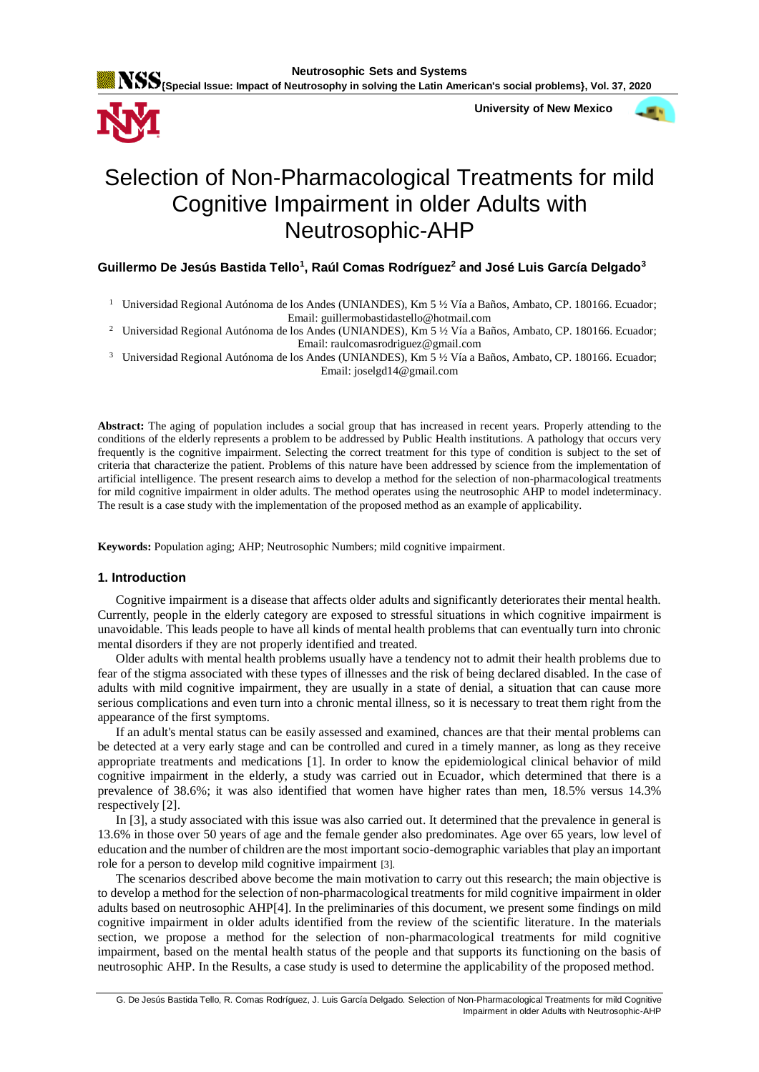

**{Special Issue: Impact of Neutrosophy in solving the Latin American's social problems}, Vol. 37, 2020**

 **University of New Mexico**



# Selection of Non-Pharmacological Treatments for mild Cognitive Impairment in older Adults with Neutrosophic-AHP

## **Guillermo De Jesús Bastida Tello<sup>1</sup> , Raúl Comas Rodríguez<sup>2</sup> and José Luis García Delgado<sup>3</sup>**

<sup>1</sup> Universidad Regional Autónoma de los Andes (UNIANDES), Km 5 ½ Vía a Baños, Ambato, CP. 180166. Ecuador; Email: guillermobastidastello@hotmail.com

<sup>2</sup> Universidad Regional Autónoma de los Andes (UNIANDES), Km 5 ½ Vía a Baños, Ambato, CP. 180166. Ecuador; Email: raulcomasrodriguez@gmail.com

<sup>3</sup> Universidad Regional Autónoma de los Andes (UNIANDES), Km 5 ½ Vía a Baños, Ambato, CP. 180166. Ecuador;

Email: joselgd14@gmail.com

**Abstract:** The aging of population includes a social group that has increased in recent years. Properly attending to the conditions of the elderly represents a problem to be addressed by Public Health institutions. A pathology that occurs very frequently is the cognitive impairment. Selecting the correct treatment for this type of condition is subject to the set of criteria that characterize the patient. Problems of this nature have been addressed by science from the implementation of artificial intelligence. The present research aims to develop a method for the selection of non-pharmacological treatments for mild cognitive impairment in older adults. The method operates using the neutrosophic AHP to model indeterminacy. The result is a case study with the implementation of the proposed method as an example of applicability.

**Keywords:** Population aging; AHP; Neutrosophic Numbers; mild cognitive impairment.

## **1. Introduction**

Cognitive impairment is a disease that affects older adults and significantly deteriorates their mental health. Currently, people in the elderly category are exposed to stressful situations in which cognitive impairment is unavoidable. This leads people to have all kinds of mental health problems that can eventually turn into chronic mental disorders if they are not properly identified and treated.

Older adults with mental health problems usually have a tendency not to admit their health problems due to fear of the stigma associated with these types of illnesses and the risk of being declared disabled. In the case of adults with mild cognitive impairment, they are usually in a state of denial, a situation that can cause more serious complications and even turn into a chronic mental illness, so it is necessary to treat them right from the appearance of the first symptoms.

If an adult's mental status can be easily assessed and examined, chances are that their mental problems can be detected at a very early stage and can be controlled and cured in a timely manner, as long as they receive appropriate treatments and medications [\[1\]](#page-7-0). In order to know the epidemiological clinical behavior of mild cognitive impairment in the elderly, a study was carried out in Ecuador, which determined that there is a prevalence of 38.6%; it was also identified that women have higher rates than men, 18.5% versus 14.3% respectively [\[2\]](#page-7-1).

In [3], a study associated with this issue was also carried out. It determined that the prevalence in general is 13.6% in those over 50 years of age and the female gender also predominates. Age over 65 years, low level of education and the number of children are the most important socio-demographic variables that play an important role for a person to develop mild cognitive impairment [\[3\]](#page-7-2).

The scenarios described above become the main motivation to carry out this research; the main objective is to develop a method for the selection of non-pharmacological treatments for mild cognitive impairment in older adults based on neutrosophic AHP[\[4\]](#page-7-3). In the preliminaries of this document, we present some findings on mild cognitive impairment in older adults identified from the review of the scientific literature. In the materials section, we propose a method for the selection of non-pharmacological treatments for mild cognitive impairment, based on the mental health status of the people and that supports its functioning on the basis of neutrosophic AHP. In the Results, a case study is used to determine the applicability of the proposed method.

G. De Jesús Bastida Tello, R. Comas Rodríguez, J. Luis García Delgado. Selection of Non-Pharmacological Treatments for mild Cognitive Impairment in older Adults with Neutrosophic-AHP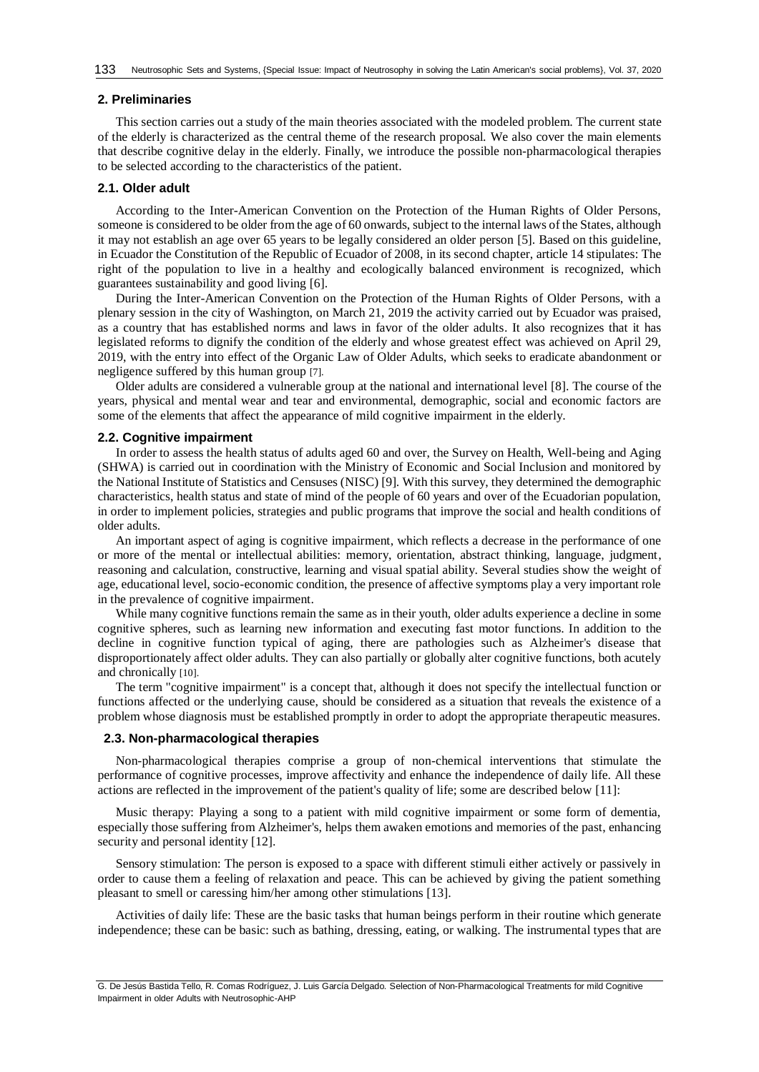#### **2. Preliminaries**

This section carries out a study of the main theories associated with the modeled problem. The current state of the elderly is characterized as the central theme of the research proposal. We also cover the main elements that describe cognitive delay in the elderly. Finally, we introduce the possible non-pharmacological therapies to be selected according to the characteristics of the patient.

## **2.1. Older adult**

According to the Inter-American Convention on the Protection of the Human Rights of Older Persons, someone is considered to be older from the age of 60 onwards, subject to the internal laws of the States, although it may not establish an age over 65 years to be legally considered an older person [\[5\]](#page-7-4). Based on this guideline, in Ecuador the Constitution of the Republic of Ecuador of 2008, in its second chapter, article 14 stipulates: The right of the population to live in a healthy and ecologically balanced environment is recognized, which guarantees sustainability and good living [\[6\]](#page-7-5).

During the Inter-American Convention on the Protection of the Human Rights of Older Persons, with a plenary session in the city of Washington, on March 21, 2019 the activity carried out by Ecuador was praised, as a country that has established norms and laws in favor of the older adults. It also recognizes that it has legislated reforms to dignify the condition of the elderly and whose greatest effect was achieved on April 29, 2019, with the entry into effect of the Organic Law of Older Adults, which seeks to eradicate abandonment or negligence suffered by this human group [\[7\]](#page-7-6).

Older adults are considered a vulnerable group at the national and international level [\[8\]](#page-7-7). The course of the years, physical and mental wear and tear and environmental, demographic, social and economic factors are some of the elements that affect the appearance of mild cognitive impairment in the elderly.

#### **2.2. Cognitive impairment**

In order to assess the health status of adults aged 60 and over, the Survey on Health, Well-being and Aging (SHWA) is carried out in coordination with the Ministry of Economic and Social Inclusion and monitored by the National Institute of Statistics and Censuses (NISC) [\[9\]](#page-7-8). With this survey, they determined the demographic characteristics, health status and state of mind of the people of 60 years and over of the Ecuadorian population, in order to implement policies, strategies and public programs that improve the social and health conditions of older adults.

An important aspect of aging is cognitive impairment, which reflects a decrease in the performance of one or more of the mental or intellectual abilities: memory, orientation, abstract thinking, language, judgment, reasoning and calculation, constructive, learning and visual spatial ability. Several studies show the weight of age, educational level, socio-economic condition, the presence of affective symptoms play a very important role in the prevalence of cognitive impairment.

While many cognitive functions remain the same as in their youth, older adults experience a decline in some cognitive spheres, such as learning new information and executing fast motor functions. In addition to the decline in cognitive function typical of aging, there are pathologies such as Alzheimer's disease that disproportionately affect older adults. They can also partially or globally alter cognitive functions, both acutely and chronically [\[10\]](#page-7-9).

The term "cognitive impairment" is a concept that, although it does not specify the intellectual function or functions affected or the underlying cause, should be considered as a situation that reveals the existence of a problem whose diagnosis must be established promptly in order to adopt the appropriate therapeutic measures.

#### **2.3. Non-pharmacological therapies**

Non-pharmacological therapies comprise a group of non-chemical interventions that stimulate the performance of cognitive processes, improve affectivity and enhance the independence of daily life. All these actions are reflected in the improvement of the patient's quality of life; some are described below [\[11\]](#page-7-10):

Music therapy: Playing a song to a patient with mild cognitive impairment or some form of dementia, especially those suffering from Alzheimer's, helps them awaken emotions and memories of the past, enhancing security and personal identity [\[12\]](#page-7-11).

Sensory stimulation: The person is exposed to a space with different stimuli either actively or passively in order to cause them a feeling of relaxation and peace. This can be achieved by giving the patient something pleasant to smell or caressing him/her among other stimulations [\[13\]](#page-7-12).

Activities of daily life: These are the basic tasks that human beings perform in their routine which generate independence; these can be basic: such as bathing, dressing, eating, or walking. The instrumental types that are

G. De Jesús Bastida Tello, R. Comas Rodríguez, J. Luis García Delgado. Selection of Non-Pharmacological Treatments for mild Cognitive Impairment in older Adults with Neutrosophic-AHP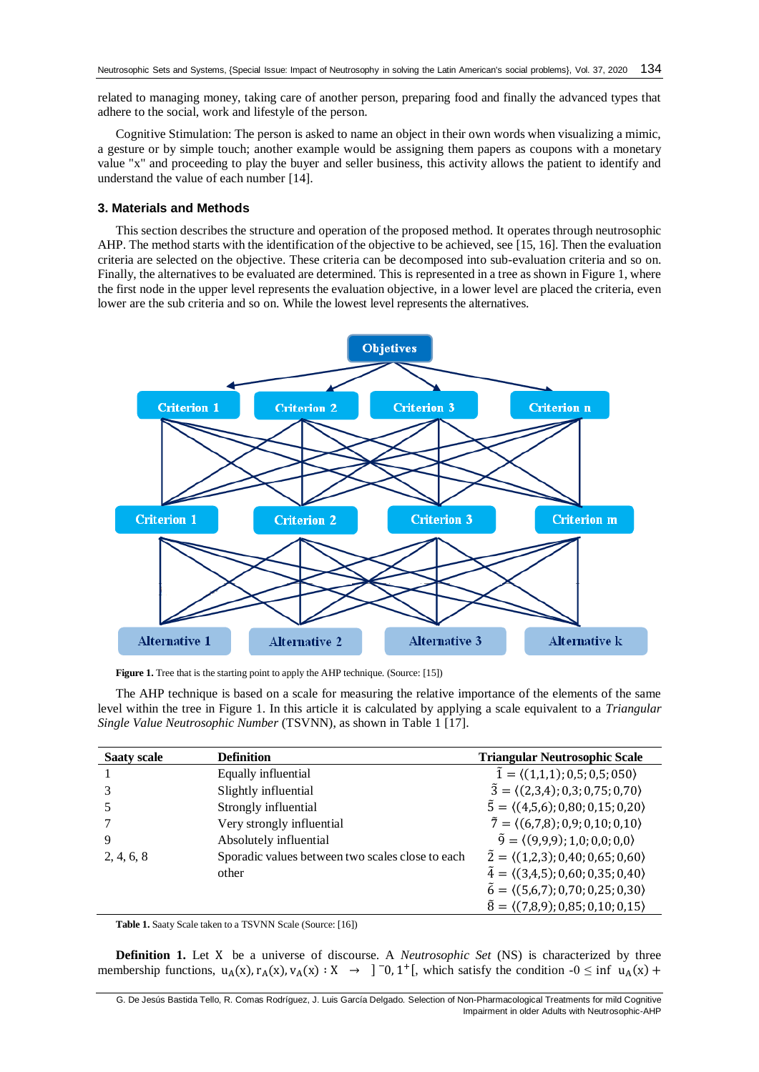related to managing money, taking care of another person, preparing food and finally the advanced types that adhere to the social, work and lifestyle of the person.

Cognitive Stimulation: The person is asked to name an object in their own words when visualizing a mimic, a gesture or by simple touch; another example would be assigning them papers as coupons with a monetary value "x" and proceeding to play the buyer and seller business, this activity allows the patient to identify and understand the value of each number [\[14\]](#page-7-13).

## **3. Materials and Methods**

This section describes the structure and operation of the proposed method. It operates through neutrosophic AHP. The method starts with the identification of the objective to be achieved, see [\[15,](#page-7-14) [16\]](#page-7-15). Then the evaluation criteria are selected on the objective. These criteria can be decomposed into sub-evaluation criteria and so on. Finally, the alternatives to be evaluated are determined. This is represented in a tree as shown in Figure 1, where the first node in the upper level represents the evaluation objective, in a lower level are placed the criteria, even lower are the sub criteria and so on. While the lowest level represents the alternatives.



**Figure 1.** Tree that is the starting point to apply the AHP technique. (Source: [\[15\]](#page-7-14))

The AHP technique is based on a scale for measuring the relative importance of the elements of the same level within the tree in Figure 1. In this article it is calculated by applying a scale equivalent to a *Triangular Single Value Neutrosophic Number* (TSVNN), as shown in Table 1 [\[17\]](#page-8-0).

| <b>Saaty scale</b> | <b>Definition</b>                                | <b>Triangular Neutrosophic Scale</b>                    |
|--------------------|--------------------------------------------------|---------------------------------------------------------|
|                    | Equally influential                              | $\tilde{1} = \langle (1,1,1); 0,5; 0,5; 050 \rangle$    |
|                    | Slightly influential                             | $\tilde{3} = \langle (2,3,4); 0,3; 0,75; 0,70 \rangle$  |
|                    | Strongly influential                             | $\tilde{5} = \langle (4,5,6); 0,80; 0,15; 0,20 \rangle$ |
|                    | Very strongly influential                        | $\tilde{7} = \langle (6.7.8); 0.9; 0.10; 0.10 \rangle$  |
| 9                  | Absolutely influential                           | $\tilde{9} = \langle (9,9,9); 1,0; 0,0; 0,0 \rangle$    |
| 2, 4, 6, 8         | Sporadic values between two scales close to each | $\tilde{2} = \langle (1,2,3); 0,40; 0,65; 0,60 \rangle$ |
|                    | other                                            | $\tilde{4} = \langle (3,4,5); 0,60; 0,35; 0,40 \rangle$ |
|                    |                                                  | $\tilde{6} = \langle (5.6.7); 0.70; 0.25; 0.30 \rangle$ |
|                    |                                                  | $\tilde{8} = \langle (7,8,9); 0,85; 0,10; 0,15 \rangle$ |

**Table 1.** Saaty Scale taken to a TSVNN Scale (Source: [\[16\]](#page-7-15))

**Definition 1.** Let X be a universe of discourse. A *Neutrosophic Set* (NS) is characterized by three membership functions,  $u_A(x), r_A(x), v_A(x) : X \rightarrow ]-0, 1^+[$ , which satisfy the condition  $-0 \le \inf u_A(x) +$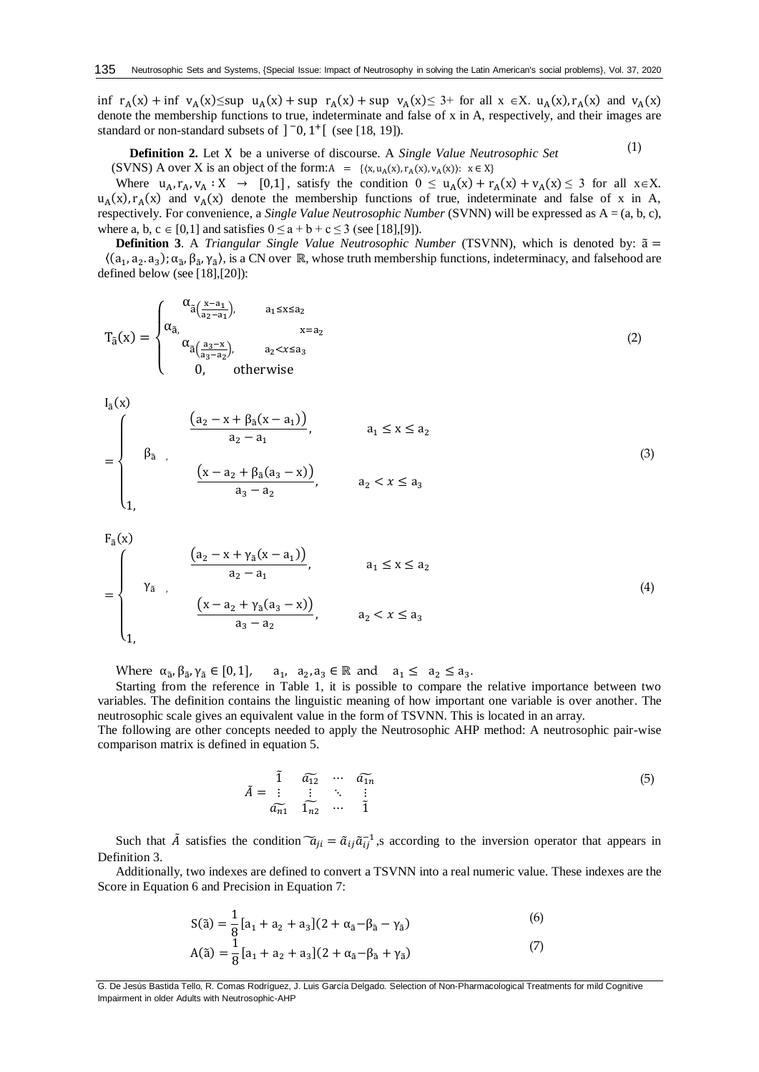inf  $r_A(x)$  + inf  $v_A(x) \le \sup u_A(x)$  + sup  $r_A(x)$  + sup  $v_A(x) \le 3$ + for all  $x \in X$ .  $u_A(x)$ ,  $r_A(x)$  and  $v_A(x)$ denote the membership functions to true, indeterminate and false of x in A, respectively, and their images are standard or non-standard subsets of  $\int$  -0, 1<sup>+</sup> [ (see [\[18,](#page-8-1) [19\]](#page-8-2)).

**Definition 2.** Let X be a universe of discourse. A *Single Value Neutrosophic Set*  (SVNS) A over X is an object of the form: $A = \{(x, u_A(x), r_A(x), v_A(x))\colon x \in X\}$ (1)

Where  $u_A, r_A, v_A : X \to [0,1]$ , satisfy the condition  $0 \le u_A(x) + r_A(x) + v_A(x) \le 3$  for all  $x \in X$ .  $u_A(x), r_A(x)$  and  $v_A(x)$  denote the membership functions of true, indeterminate and false of x in A, respectively. For convenience, a *Single Value Neutrosophic Number* (SVNN) will be expressed as A = (a, b, c), where a, b,  $c \in [0,1]$  and satisfies  $0 \le a + b + c \le 3$  (see [\[18\]](#page-8-1),[\[9\]](#page-7-8)).

**Definition 3**. A *Triangular Single Value Neutrosophic Number* (TSVNN), which is denoted by: ã =  $((a_1, a_2, a_3); \alpha_{\tilde{a}}, \beta_{\tilde{a}}, \gamma_{\tilde{a}})$ , is a CN over ℝ, whose truth membership functions, indeterminacy, and falsehood are defined below (see [\[18\]](#page-8-1),[\[20\]](#page-8-3)):

$$
T_{\tilde{a}}(x) = \begin{cases} \alpha_{\tilde{a}(\frac{x-a_1}{a_2-a_1}),} & a_1 \le x \le a_2\\ \alpha_{\tilde{a},\zeta(\frac{a_3-x}{a_3-a_2}),} & x = a_2\\ 0, & \text{otherwise} \end{cases}
$$
(2)

$$
I_{\tilde{a}}(x)
$$

$$
= \begin{cases} \n\frac{(a_2 - x + \beta_3(x - a_1))}{a_2 - a_1}, & a_1 \le x \le a_2 \\
\beta_3, & \frac{(x - a_2 + \beta_3(a_3 - x))}{a_3 - a_2}, & a_2 < x \le a_3\n\end{cases}
$$
\n(3)

$$
F_{\tilde{a}}(x) = \begin{cases} \n\frac{(a_2 - x + \gamma_{\tilde{a}}(x - a_1))}{a_2 - a_1}, & a_1 \le x \le a_2 \\
\gamma_{\tilde{a}} & \frac{(x - a_2 + \gamma_{\tilde{a}}(a_3 - x))}{a_3 - a_2}, & a_2 < x \le a_3\n\end{cases}
$$
\n
$$
(4)
$$

Where  $\alpha_{\tilde{a}}$ ,  $\beta_{\tilde{a}}$ ,  $\gamma_{\tilde{a}} \in [0,1]$ ,  $a_1$ ,  $a_2$ ,  $a_3 \in \mathbb{R}$  and  $a_1 \leq a_2 \leq a_3$ .

Starting from the reference in Table 1, it is possible to compare the relative importance between two variables. The definition contains the linguistic meaning of how important one variable is over another. The neutrosophic scale gives an equivalent value in the form of TSVNN. This is located in an array.

The following are other concepts needed to apply the Neutrosophic AHP method: A neutrosophic pair-wise comparison matrix is defined in equation 5.

$$
\tilde{A} = \begin{array}{c} \tilde{1} & \tilde{a}_{12} & \cdots & \tilde{a}_{1n} \\ \vdots & \vdots & \ddots & \vdots \\ \tilde{a}_{n1} & \tilde{1}_{n2} & \cdots & \tilde{1} \end{array} \tag{5}
$$

Such that  $\tilde{A}$  satisfies the condition  $\tilde{a}_{ji} = \tilde{a}_{ij} \tilde{a}_{ij}^{-1}$ , according to the inversion operator that appears in Definition 3.

Additionally, two indexes are defined to convert a TSVNN into a real numeric value. These indexes are the Score in Equation 6 and Precision in Equation 7:

$$
S(\tilde{a}) = \frac{1}{8} [a_1 + a_2 + a_3] (2 + \alpha_{\tilde{a}} - \beta_{\tilde{a}} - \gamma_{\tilde{a}})
$$
(6)

$$
A(\tilde{a}) = \frac{1}{8} [a_1 + a_2 + a_3] (2 + \alpha_{\tilde{a}} - \beta_{\tilde{a}} + \gamma_{\tilde{a}})
$$
(7)

G. De Jesús Bastida Tello, R. Comas Rodríguez, J. Luis García Delgado. Selection of Non-Pharmacological Treatments for mild Cognitive Impairment in older Adults with Neutrosophic-AHP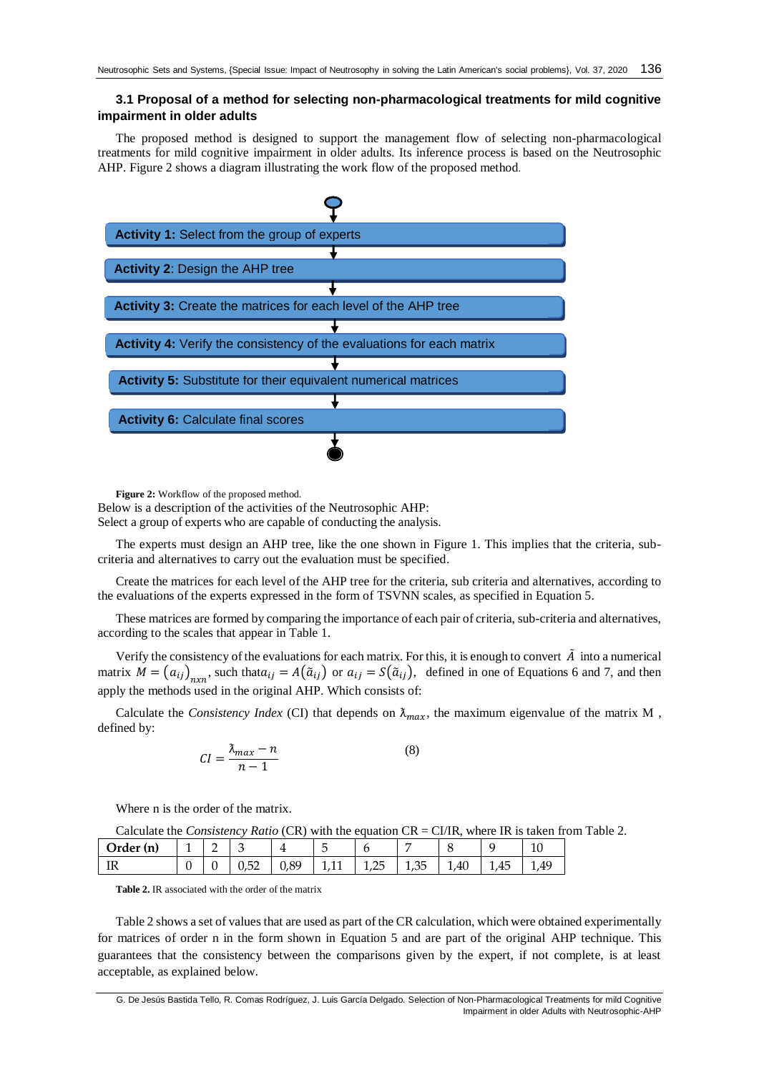## **3.1 Proposal of a method for selecting non-pharmacological treatments for mild cognitive impairment in older adults**

The proposed method is designed to support the management flow of selecting non-pharmacological treatments for mild cognitive impairment in older adults. Its inference process is based on the Neutrosophic AHP. Figure 2 shows a diagram illustrating the work flow of the proposed method.



**Figure 2:** Workflow of the proposed method.

Below is a description of the activities of the Neutrosophic AHP:

Select a group of experts who are capable of conducting the analysis.

The experts must design an AHP tree, like the one shown in Figure 1. This implies that the criteria, subcriteria and alternatives to carry out the evaluation must be specified.

Create the matrices for each level of the AHP tree for the criteria, sub criteria and alternatives, according to the evaluations of the experts expressed in the form of TSVNN scales, as specified in Equation 5.

These matrices are formed by comparing the importance of each pair of criteria, sub-criteria and alternatives, according to the scales that appear in Table 1.

Verify the consistency of the evaluations for each matrix. For this, it is enough to convert  $\tilde{A}$  into a numerical matrix  $M = (a_{ij})_{n \times n}$ , such that  $a_{ij} = A(\tilde{a}_{ij})$  or  $a_{ij} = S(\tilde{a}_{ij})$ , defined in one of Equations 6 and 7, and then apply the methods used in the original AHP. Which consists of:

Calculate the *Consistency Index* (CI) that depends on  $\lambda_{max}$ , the maximum eigenvalue of the matrix M, defined by:

$$
CI = \frac{\lambda_{max} - n}{n - 1} \tag{8}
$$

Where n is the order of the matrix.

Calculate the *Consistency Ratio* (CR) with the equation CR = CI/IR, where IR is taken from Table 2.

| (Urder (n       | <b>.</b><br>– | -<br>- | ╰                                       |      |   |             |            |      |      | τc  |
|-----------------|---------------|--------|-----------------------------------------|------|---|-------------|------------|------|------|-----|
| <b>TT</b><br>** |               |        | $-$<br>$\overline{\phantom{a}}$<br>◡៸◡∠ | 0,89 | . | הור<br>ت∠بد | つら<br>1,UJ | 1.40 | 1,40 | . . |

**Table 2.** IR associated with the order of the matrix

Table 2 shows a set of values that are used as part of the CR calculation, which were obtained experimentally for matrices of order n in the form shown in Equation 5 and are part of the original AHP technique. This guarantees that the consistency between the comparisons given by the expert, if not complete, is at least acceptable, as explained below.

G. De Jesús Bastida Tello, R. Comas Rodríguez, J. Luis García Delgado. Selection of Non-Pharmacological Treatments for mild Cognitive Impairment in older Adults with Neutrosophic-AHP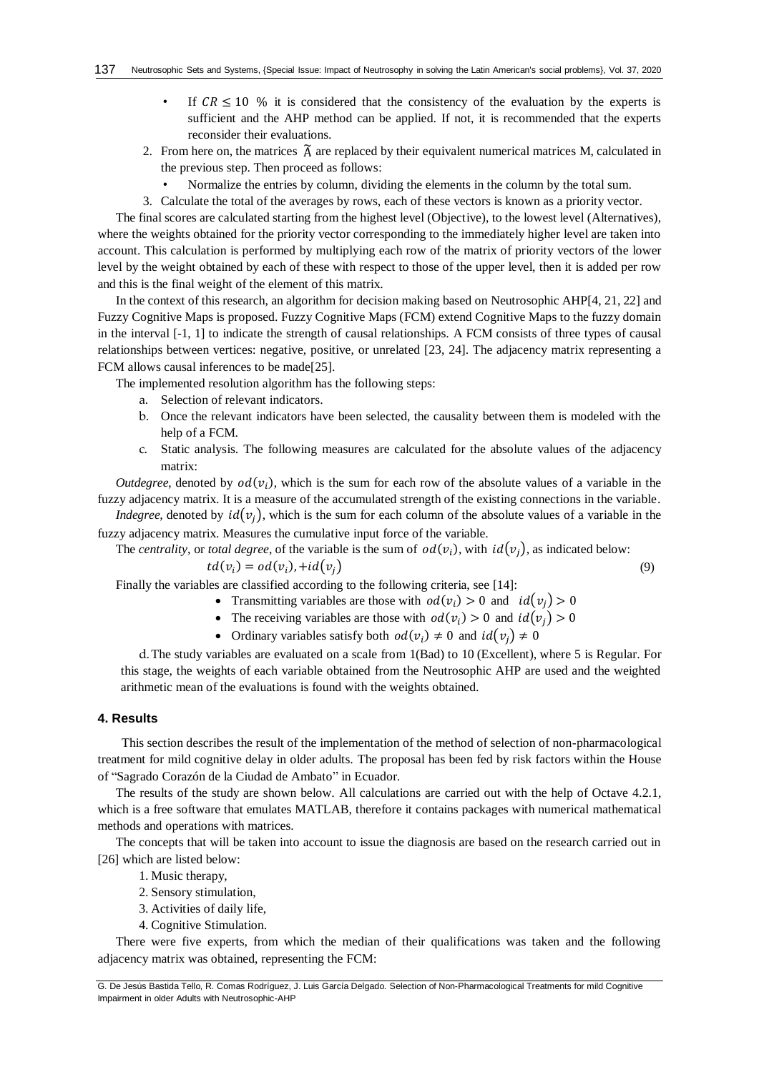- If  $CR \leq 10$  % it is considered that the consistency of the evaluation by the experts is sufficient and the AHP method can be applied. If not, it is recommended that the experts reconsider their evaluations.
- 2. From here on, the matrices  $\widetilde{A}$  are replaced by their equivalent numerical matrices M, calculated in the previous step. Then proceed as follows:
	- Normalize the entries by column, dividing the elements in the column by the total sum.
- 3. Calculate the total of the averages by rows, each of these vectors is known as a priority vector.

The final scores are calculated starting from the highest level (Objective), to the lowest level (Alternatives), where the weights obtained for the priority vector corresponding to the immediately higher level are taken into account. This calculation is performed by multiplying each row of the matrix of priority vectors of the lower level by the weight obtained by each of these with respect to those of the upper level, then it is added per row and this is the final weight of the element of this matrix.

In the context of this research, an algorithm for decision making based on Neutrosophic AHP[\[4,](#page-7-3) [21,](#page-8-4) [22\]](#page-8-5) and Fuzzy Cognitive Maps is proposed. Fuzzy Cognitive Maps (FCM) extend Cognitive Maps to the fuzzy domain in the interval [-1, 1] to indicate the strength of causal relationships. A FCM consists of three types of causal relationships between vertices: negative, positive, or unrelated [\[23,](#page-8-6) [24\]](#page-8-7). The adjacency matrix representing a FCM allows causal inferences to be made[\[25\]](#page-8-8).

The implemented resolution algorithm has the following steps:

- a. Selection of relevant indicators.
- b. Once the relevant indicators have been selected, the causality between them is modeled with the help of a FCM.
- c. Static analysis. The following measures are calculated for the absolute values of the adjacency matrix:

*Outdegree*, denoted by  $od(v_i)$ , which is the sum for each row of the absolute values of a variable in the fuzzy adjacency matrix. It is a measure of the accumulated strength of the existing connections in the variable.

*Indegree,* denoted by  $id(v_i)$ , which is the sum for each column of the absolute values of a variable in the fuzzy adjacency matrix. Measures the cumulative input force of the variable.

The *centrality*, or *total degree*, of the variable is the sum of  $od(v_i)$ , with  $id(v_j)$ , as indicated below:

$$
td(v_i) = od(v_i), + id(v_j)
$$
\n(9)

Finally the variables are classified according to the following criteria, see [14]:

- Transmitting variables are those with  $od(v_i) > 0$  and  $id(v_j) > 0$
- The receiving variables are those with  $od(v_i) > 0$  and  $id(v_j) > 0$
- Ordinary variables satisfy both  $od(v_i) \neq 0$  and  $id(v_j) \neq 0$

d.The study variables are evaluated on a scale from 1(Bad) to 10 (Excellent), where 5 is Regular. For this stage, the weights of each variable obtained from the Neutrosophic AHP are used and the weighted arithmetic mean of the evaluations is found with the weights obtained.

## **4. Results**

This section describes the result of the implementation of the method of selection of non-pharmacological treatment for mild cognitive delay in older adults. The proposal has been fed by risk factors within the House of "Sagrado Corazón de la Ciudad de Ambato" in Ecuador.

The results of the study are shown below. All calculations are carried out with the help of Octave 4.2.1, which is a free software that emulates MATLAB, therefore it contains packages with numerical mathematical methods and operations with matrices.

The concepts that will be taken into account to issue the diagnosis are based on the research carried out in [\[26\]](#page-8-9) which are listed below:

- 1. Music therapy,
- 2. Sensory stimulation,
- 3. Activities of daily life,
- 4. Cognitive Stimulation.

There were five experts, from which the median of their qualifications was taken and the following adjacency matrix was obtained, representing the FCM:

G. De Jesús Bastida Tello, R. Comas Rodríguez, J. Luis García Delgado. Selection of Non-Pharmacological Treatments for mild Cognitive Impairment in older Adults with Neutrosophic-AHP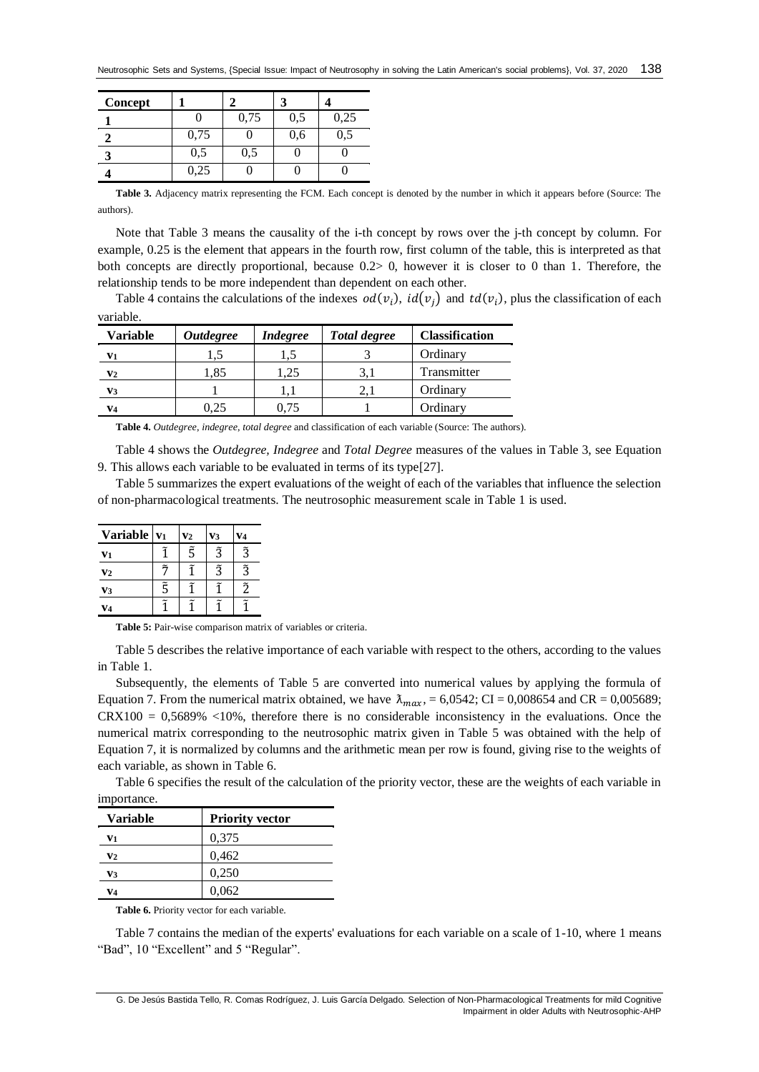| Concept |      |      |     |      |
|---------|------|------|-----|------|
|         |      | 0,75 | 0,5 | 0,25 |
|         | 0,75 |      | 0,6 | 0,5  |
| 2       | 0,5  | 0,5  |     |      |
|         | 0,25 |      |     |      |

**Table 3.** Adjacency matrix representing the FCM. Each concept is denoted by the number in which it appears before (Source: The authors).

Note that Table 3 means the causality of the i-th concept by rows over the j-th concept by column. For example, 0.25 is the element that appears in the fourth row, first column of the table, this is interpreted as that both concepts are directly proportional, because 0.2> 0, however it is closer to 0 than 1. Therefore, the relationship tends to be more independent than dependent on each other.

Table 4 contains the calculations of the indexes  $od(v_i)$ ,  $id(v_j)$  and  $td(v_i)$ , plus the classification of each variable.

| Variable       | <i><b>Outdegree</b></i> | <i>Indegree</i> | <b>Total degree</b> | <b>Classification</b> |
|----------------|-------------------------|-----------------|---------------------|-----------------------|
| V1             |                         | 1.5             |                     | Ordinary              |
| $\mathbf{v}_2$ | l.85                    | .,25            |                     | Transmitter           |
| V3             |                         |                 |                     | Ordinary              |
| V <sub>4</sub> | 0.25                    | 0.75            |                     | Ordinary              |

**Table 4.** *Outdegree*, *indegree*, *total degree* and classification of each variable (Source: The authors).

Table 4 shows the *Outdegree, Indegree* and *Total Degree* measures of the values in Table 3, see Equation 9. This allows each variable to be evaluated in terms of its type[\[27\]](#page-8-10).

Table 5 summarizes the expert evaluations of the weight of each of the variables that influence the selection of non-pharmacological treatments. The neutrosophic measurement scale in Table 1 is used.

| <b>Variable</b> | $ V_1 $     | $\mathbf{v}_2$ | V3          | V4          |
|-----------------|-------------|----------------|-------------|-------------|
| V <sub>1</sub>  |             | $\tilde{5}$    | $\tilde{3}$ | $\tilde{3}$ |
| V <sub>2</sub>  | $\tilde{z}$ |                | $\tilde{3}$ | $\tilde{3}$ |
| V <sub>3</sub>  | $\tilde{5}$ | ĩ              | ã           | $\tilde{2}$ |
| V4              |             |                |             |             |

**Table 5:** Pair-wise comparison matrix of variables or criteria.

Table 5 describes the relative importance of each variable with respect to the others, according to the values in Table 1.

Subsequently, the elements of Table 5 are converted into numerical values by applying the formula of Equation 7. From the numerical matrix obtained, we have  $\lambda_{max} = 6.0542$ ; CI = 0,008654 and CR = 0,005689;  $CRX100 = 0.5689\%$  <10%, therefore there is no considerable inconsistency in the evaluations. Once the numerical matrix corresponding to the neutrosophic matrix given in Table 5 was obtained with the help of Equation 7, it is normalized by columns and the arithmetic mean per row is found, giving rise to the weights of each variable, as shown in Table 6.

Table 6 specifies the result of the calculation of the priority vector, these are the weights of each variable in importance.

| <b>Variable</b> | <b>Priority vector</b> |
|-----------------|------------------------|
| V1              | 0,375                  |
| V2              | 0,462                  |
| V3              | 0,250                  |
| V4              | 0.062                  |

**Table 6.** Priority vector for each variable.

Table 7 contains the median of the experts' evaluations for each variable on a scale of 1-10, where 1 means "Bad", 10 "Excellent" and 5 "Regular".

G. De Jesús Bastida Tello, R. Comas Rodríguez, J. Luis García Delgado. Selection of Non-Pharmacological Treatments for mild Cognitive Impairment in older Adults with Neutrosophic-AHP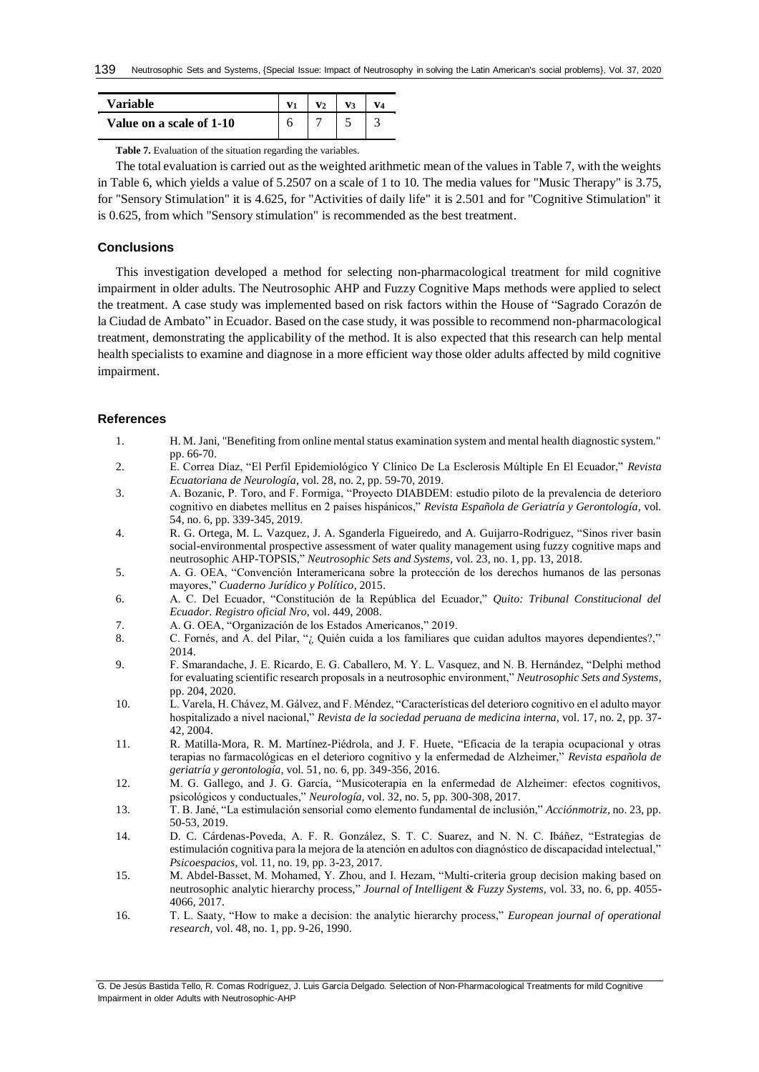| Variable                 |  |  |  |
|--------------------------|--|--|--|
| Value on a scale of 1-10 |  |  |  |

**Table 7.** Evaluation of the situation regarding the variables.

The total evaluation is carried out as the weighted arithmetic mean of the values in Table 7, with the weights in Table 6, which yields a value of 5.2507 on a scale of 1 to 10. The media values for "Music Therapy" is 3.75, for "Sensory Stimulation" it is 4.625, for "Activities of daily life" it is 2.501 and for "Cognitive Stimulation" it is 0.625, from which "Sensory stimulation" is recommended as the best treatment.

## **Conclusions**

This investigation developed a method for selecting non-pharmacological treatment for mild cognitive impairment in older adults. The Neutrosophic AHP and Fuzzy Cognitive Maps methods were applied to select the treatment. A case study was implemented based on risk factors within the House of "Sagrado Corazón de la Ciudad de Ambato" in Ecuador. Based on the case study, it was possible to recommend non-pharmacological treatment, demonstrating the applicability of the method. It is also expected that this research can help mental health specialists to examine and diagnose in a more efficient way those older adults affected by mild cognitive impairment.

#### **References**

- <span id="page-7-0"></span>1. H. M. Jani, "Benefiting from online mental status examination system and mental health diagnostic system." pp. 66-70.
- <span id="page-7-1"></span>2. E. Correa Díaz, "El Perfil Epidemiológico Y Clínico De La Esclerosis Múltiple En El Ecuador," *Revista Ecuatoriana de Neurología,* vol. 28, no. 2, pp. 59-70, 2019.
- <span id="page-7-2"></span>3. A. Bozanic, P. Toro, and F. Formiga, "Proyecto DIABDEM: estudio piloto de la prevalencia de deterioro cognitivo en diabetes mellitus en 2 países hispánicos," *Revista Española de Geriatría y Gerontología,* vol. 54, no. 6, pp. 339-345, 2019.
- <span id="page-7-3"></span>4. R. G. Ortega, M. L. Vazquez, J. A. Sganderla Figueiredo, and A. Guijarro-Rodriguez, "Sinos river basin social-environmental prospective assessment of water quality management using fuzzy cognitive maps and neutrosophic AHP-TOPSIS," *Neutrosophic Sets and Systems,* vol. 23, no. 1, pp. 13, 2018.
- <span id="page-7-4"></span>5. A. G. OEA, "Convención Interamericana sobre la protección de los derechos humanos de las personas mayores," *Cuaderno Jurídico y Político*, 2015.
- <span id="page-7-5"></span>6. A. C. Del Ecuador, "Constitución de la República del Ecuador," *Quito: Tribunal Constitucional del Ecuador. Registro oficial Nro,* vol. 449, 2008.
- <span id="page-7-6"></span>7. A. G. OEA, "Organización de los Estados Americanos," 2019.
- <span id="page-7-7"></span>8. C. Fornés, and A. del Pilar, "*i*, Quién cuida a los familiares que cuidan adultos mayores dependientes?," 2014.
- <span id="page-7-8"></span>9. F. Smarandache, J. E. Ricardo, E. G. Caballero, M. Y. L. Vasquez, and N. B. Hernández, "Delphi method for evaluating scientific research proposals in a neutrosophic environment," *Neutrosophic Sets and Systems*, pp. 204, 2020.
- <span id="page-7-9"></span>10. L. Varela, H. Chávez, M. Gálvez, and F. Méndez, "Características del deterioro cognitivo en el adulto mayor hospitalizado a nivel nacional," *Revista de la sociedad peruana de medicina interna,* vol. 17, no. 2, pp. 37- 42, 2004.
- <span id="page-7-10"></span>11. R. Matilla-Mora, R. M. Martínez-Piédrola, and J. F. Huete, "Eficacia de la terapia ocupacional y otras terapias no farmacológicas en el deterioro cognitivo y la enfermedad de Alzheimer," *Revista española de geriatría y gerontología,* vol. 51, no. 6, pp. 349-356, 2016.
- <span id="page-7-11"></span>12. M. G. Gallego, and J. G. García, "Musicoterapia en la enfermedad de Alzheimer: efectos cognitivos, psicológicos y conductuales," *Neurología,* vol. 32, no. 5, pp. 300-308, 2017.
- <span id="page-7-12"></span>13. T. B. Jané, "La estimulación sensorial como elemento fundamental de inclusión," *Acciónmotriz*, no. 23, pp. 50-53, 2019.
- <span id="page-7-13"></span>14. D. C. Cárdenas-Poveda, A. F. R. González, S. T. C. Suarez, and N. N. C. Ibáñez, "Estrategias de estimulación cognitiva para la mejora de la atención en adultos con diagnóstico de discapacidad intelectual," *Psicoespacios,* vol. 11, no. 19, pp. 3-23, 2017.
- <span id="page-7-14"></span>15. M. Abdel-Basset, M. Mohamed, Y. Zhou, and I. Hezam, "Multi-criteria group decision making based on neutrosophic analytic hierarchy process," *Journal of Intelligent & Fuzzy Systems,* vol. 33, no. 6, pp. 4055- 4066, 2017.
- <span id="page-7-15"></span>16. T. L. Saaty, "How to make a decision: the analytic hierarchy process," *European journal of operational research,* vol. 48, no. 1, pp. 9-26, 1990.

G. De Jesús Bastida Tello, R. Comas Rodríguez, J. Luis García Delgado. Selection of Non-Pharmacological Treatments for mild Cognitive Impairment in older Adults with Neutrosophic-AHP